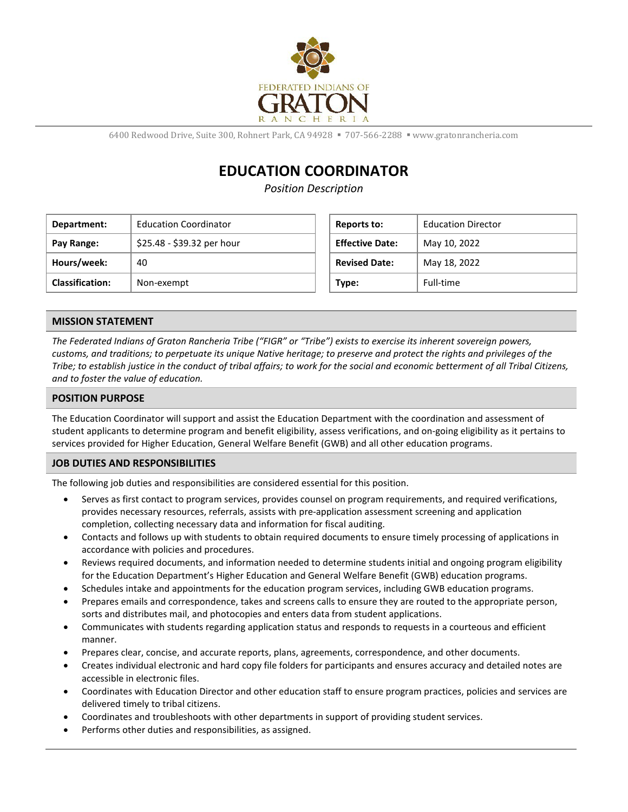

6400 Redwood Drive, Suite 300, Rohnert Park, CA 94928 · 707-566-2288 · www.gratonrancheria.com

# **EDUCATION COORDINATOR**

*Position Description*

| Department:            | <b>Education Coordinator</b> | Reports to:            | <b>Education Director</b> |
|------------------------|------------------------------|------------------------|---------------------------|
| Pay Range:             | \$25.48 - \$39.32 per hour   | <b>Effective Date:</b> | May 10, 2022              |
| Hours/week:            | 40                           | <b>Revised Date:</b>   | May 18, 2022              |
| <b>Classification:</b> | Non-exempt                   | Type:                  | Full-time                 |

### **MISSION STATEMENT**

*The Federated Indians of Graton Rancheria Tribe ("FIGR" or "Tribe") exists to exercise its inherent sovereign powers, customs, and traditions; to perpetuate its unique Native heritage; to preserve and protect the rights and privileges of the Tribe; to establish justice in the conduct of tribal affairs; to work for the social and economic betterment of all Tribal Citizens, and to foster the value of education.*

#### **POSITION PURPOSE**

The Education Coordinator will support and assist the Education Department with the coordination and assessment of student applicants to determine program and benefit eligibility, assess verifications, and on-going eligibility as it pertains to services provided for Higher Education, General Welfare Benefit (GWB) and all other education programs.

#### **JOB DUTIES AND RESPONSIBILITIES**

The following job duties and responsibilities are considered essential for this position.

- Serves as first contact to program services, provides counsel on program requirements, and required verifications, provides necessary resources, referrals, assists with pre-application assessment screening and application completion, collecting necessary data and information for fiscal auditing.
- Contacts and follows up with students to obtain required documents to ensure timely processing of applications in accordance with policies and procedures.
- Reviews required documents, and information needed to determine students initial and ongoing program eligibility for the Education Department's Higher Education and General Welfare Benefit (GWB) education programs.
- Schedules intake and appointments for the education program services, including GWB education programs.
- Prepares emails and correspondence, takes and screens calls to ensure they are routed to the appropriate person, sorts and distributes mail, and photocopies and enters data from student applications.
- Communicates with students regarding application status and responds to requests in a courteous and efficient manner.
- Prepares clear, concise, and accurate reports, plans, agreements, correspondence, and other documents.
- Creates individual electronic and hard copy file folders for participants and ensures accuracy and detailed notes are accessible in electronic files.
- Coordinates with Education Director and other education staff to ensure program practices, policies and services are delivered timely to tribal citizens.
- Coordinates and troubleshoots with other departments in support of providing student services.
- Performs other duties and responsibilities, as assigned.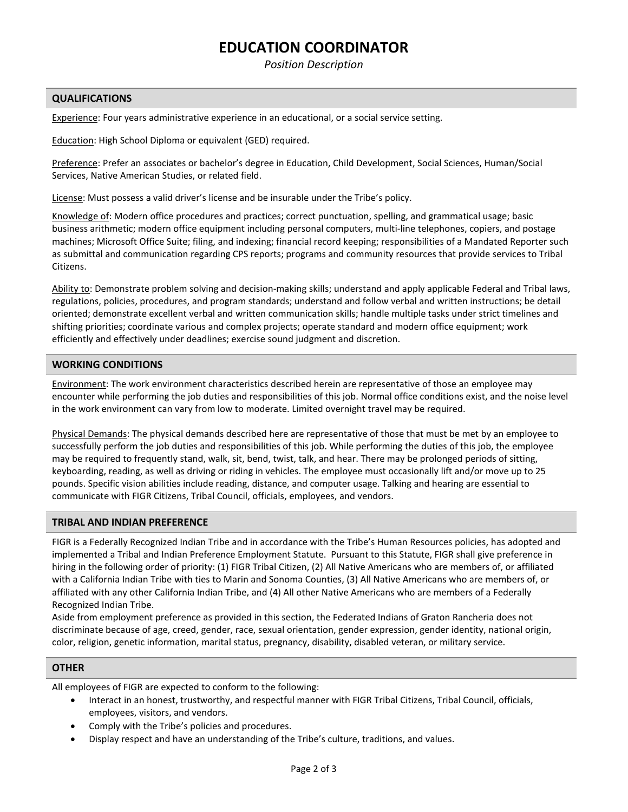## **EDUCATION COORDINATOR**

*Position Description*

#### **QUALIFICATIONS**

Experience: Four years administrative experience in an educational, or a social service setting.

Education: High School Diploma or equivalent (GED) required.

Preference: Prefer an associates or bachelor's degree in Education, Child Development, Social Sciences, Human/Social Services, Native American Studies, or related field.

License: Must possess a valid driver's license and be insurable under the Tribe's policy.

Knowledge of: Modern office procedures and practices; correct punctuation, spelling, and grammatical usage; basic business arithmetic; modern office equipment including personal computers, multi-line telephones, copiers, and postage machines; Microsoft Office Suite; filing, and indexing; financial record keeping; responsibilities of a Mandated Reporter such as submittal and communication regarding CPS reports; programs and community resources that provide services to Tribal Citizens.

Ability to: Demonstrate problem solving and decision-making skills; understand and apply applicable Federal and Tribal laws, regulations, policies, procedures, and program standards; understand and follow verbal and written instructions; be detail oriented; demonstrate excellent verbal and written communication skills; handle multiple tasks under strict timelines and shifting priorities; coordinate various and complex projects; operate standard and modern office equipment; work efficiently and effectively under deadlines; exercise sound judgment and discretion.

#### **WORKING CONDITIONS**

Environment: The work environment characteristics described herein are representative of those an employee may encounter while performing the job duties and responsibilities of this job. Normal office conditions exist, and the noise level in the work environment can vary from low to moderate. Limited overnight travel may be required.

Physical Demands: The physical demands described here are representative of those that must be met by an employee to successfully perform the job duties and responsibilities of this job. While performing the duties of this job, the employee may be required to frequently stand, walk, sit, bend, twist, talk, and hear. There may be prolonged periods of sitting, keyboarding, reading, as well as driving or riding in vehicles. The employee must occasionally lift and/or move up to 25 pounds. Specific vision abilities include reading, distance, and computer usage. Talking and hearing are essential to communicate with FIGR Citizens, Tribal Council, officials, employees, and vendors.

#### **TRIBAL AND INDIAN PREFERENCE**

FIGR is a Federally Recognized Indian Tribe and in accordance with the Tribe's Human Resources policies, has adopted and implemented a Tribal and Indian Preference Employment Statute. Pursuant to this Statute, FIGR shall give preference in hiring in the following order of priority: (1) FIGR Tribal Citizen, (2) All Native Americans who are members of, or affiliated with a California Indian Tribe with ties to Marin and Sonoma Counties, (3) All Native Americans who are members of, or affiliated with any other California Indian Tribe, and (4) All other Native Americans who are members of a Federally Recognized Indian Tribe.

Aside from employment preference as provided in this section, the Federated Indians of Graton Rancheria does not discriminate because of age, creed, gender, race, sexual orientation, gender expression, gender identity, national origin, color, religion, genetic information, marital status, pregnancy, disability, disabled veteran, or military service.

#### **OTHER**

All employees of FIGR are expected to conform to the following:

- Interact in an honest, trustworthy, and respectful manner with FIGR Tribal Citizens, Tribal Council, officials, employees, visitors, and vendors.
- Comply with the Tribe's policies and procedures.
- Display respect and have an understanding of the Tribe's culture, traditions, and values.